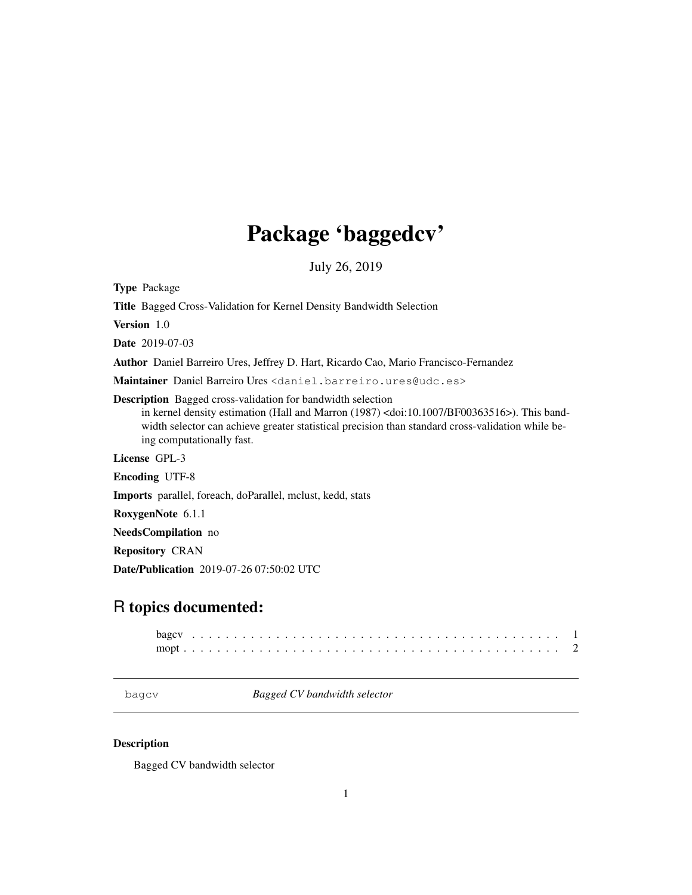# Package 'baggedcv'

July 26, 2019

Type Package

Title Bagged Cross-Validation for Kernel Density Bandwidth Selection

Version 1.0

Date 2019-07-03

Author Daniel Barreiro Ures, Jeffrey D. Hart, Ricardo Cao, Mario Francisco-Fernandez

Maintainer Daniel Barreiro Ures <daniel.barreiro.ures@udc.es>

Description Bagged cross-validation for bandwidth selection

in kernel density estimation (Hall and Marron (1987) <doi:10.1007/BF00363516>). This bandwidth selector can achieve greater statistical precision than standard cross-validation while being computationally fast.

License GPL-3

Encoding UTF-8

Imports parallel, foreach, doParallel, mclust, kedd, stats

RoxygenNote 6.1.1

NeedsCompilation no

Repository CRAN

Date/Publication 2019-07-26 07:50:02 UTC

# R topics documented:

bagcv *Bagged CV bandwidth selector*

## Description

Bagged CV bandwidth selector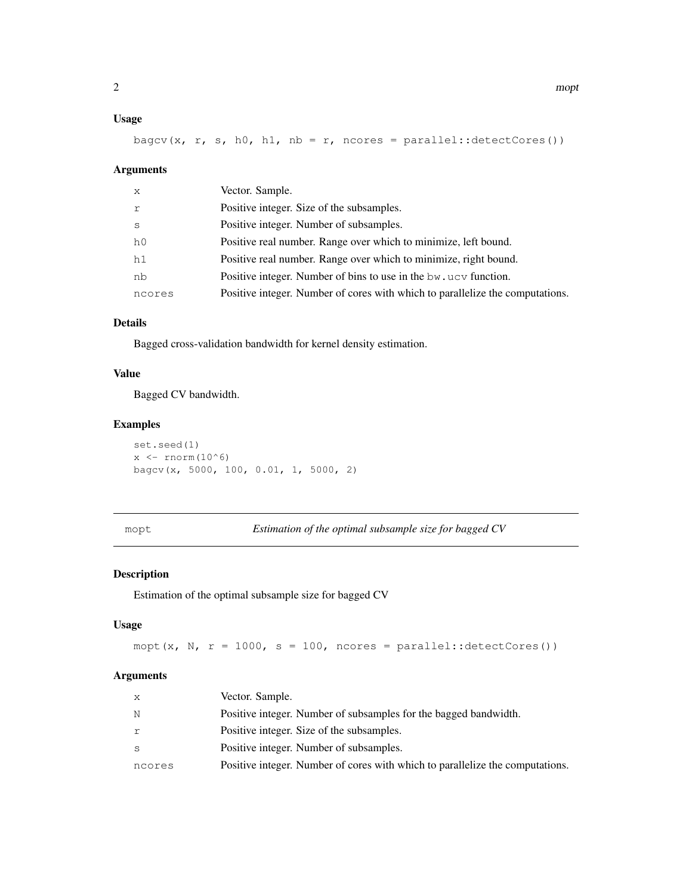#### Usage

bagcv(x, r, s, h0, h1, nb = r, ncores = parallel::detectCores())

#### Arguments

| X              | Vector. Sample.                                                               |
|----------------|-------------------------------------------------------------------------------|
| r              | Positive integer. Size of the subsamples.                                     |
| S              | Positive integer. Number of subsamples.                                       |
| h <sub>0</sub> | Positive real number. Range over which to minimize, left bound.               |
| h1             | Positive real number. Range over which to minimize, right bound.              |
| nb             | Positive integer. Number of bins to use in the bw, ucy function.              |
| ncores         | Positive integer. Number of cores with which to parallelize the computations. |

#### Details

Bagged cross-validation bandwidth for kernel density estimation.

#### Value

Bagged CV bandwidth.

#### Examples

set.seed(1)  $x \leftarrow \text{norm}(10^6)$ bagcv(x, 5000, 100, 0.01, 1, 5000, 2)

mopt *Estimation of the optimal subsample size for bagged CV*

#### Description

Estimation of the optimal subsample size for bagged CV

#### Usage

mopt(x, N,  $r = 1000$ , s = 100, ncores = parallel::detectCores())

#### Arguments

| X      | Vector. Sample.                                                               |
|--------|-------------------------------------------------------------------------------|
| N      | Positive integer. Number of subsamples for the bagged bandwidth.              |
| r      | Positive integer. Size of the subsamples.                                     |
| S      | Positive integer. Number of subsamples.                                       |
| ncores | Positive integer. Number of cores with which to parallelize the computations. |